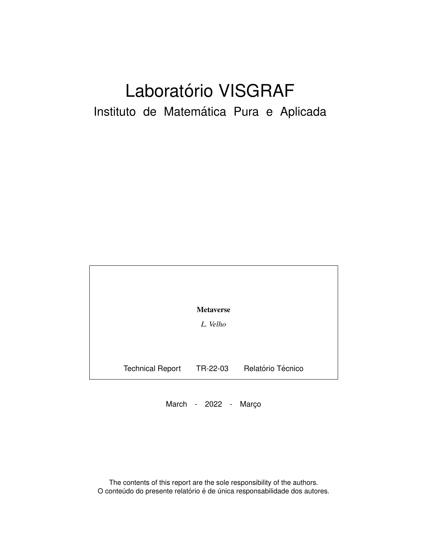# Laboratório VISGRAF Instituto de Matemática Pura e Aplicada

| <b>Metaverse</b> |                         |          |                   |
|------------------|-------------------------|----------|-------------------|
|                  |                         | L. Velho |                   |
|                  |                         |          |                   |
|                  |                         |          |                   |
|                  | <b>Technical Report</b> | TR-22-03 | Relatório Técnico |

March - 2022 - Março

The contents of this report are the sole responsibility of the authors. O conteúdo do presente relatório é de única responsabilidade dos autores.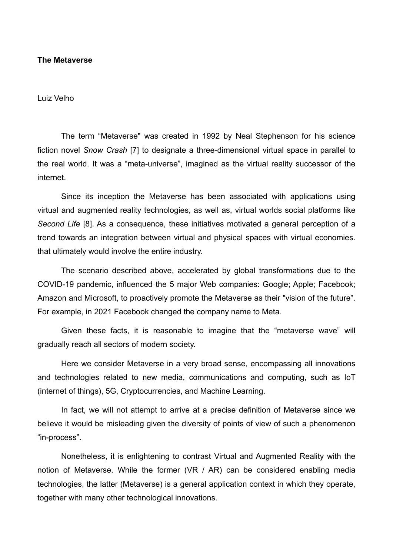#### **The Metaverse**

Luiz Velho

The term "Metaverse" was created in 1992 by Neal Stephenson for his science fiction novel *Snow Crash* [7] to designate a three-dimensional virtual space in parallel to the real world. It was a "meta-universe", imagined as the virtual reality successor of the internet.

Since its inception the Metaverse has been associated with applications using virtual and augmented reality technologies, as well as, virtual worlds social platforms like *Second Life* [8]. As a consequence, these initiatives motivated a general perception of a trend towards an integration between virtual and physical spaces with virtual economies. that ultimately would involve the entire industry.

The scenario described above, accelerated by global transformations due to the COVID-19 pandemic, influenced the 5 major Web companies: Google; Apple; Facebook; Amazon and Microsoft, to proactively promote the Metaverse as their "vision of the future". For example, in 2021 Facebook changed the company name to Meta.

Given these facts, it is reasonable to imagine that the "metaverse wave" will gradually reach all sectors of modern society.

Here we consider Metaverse in a very broad sense, encompassing all innovations and technologies related to new media, communications and computing, such as IoT (internet of things), 5G, Cryptocurrencies, and Machine Learning.

In fact, we will not attempt to arrive at a precise definition of Metaverse since we believe it would be misleading given the diversity of points of view of such a phenomenon "in-process".

Nonetheless, it is enlightening to contrast Virtual and Augmented Reality with the notion of Metaverse. While the former (VR / AR) can be considered enabling media technologies, the latter (Metaverse) is a general application context in which they operate, together with many other technological innovations.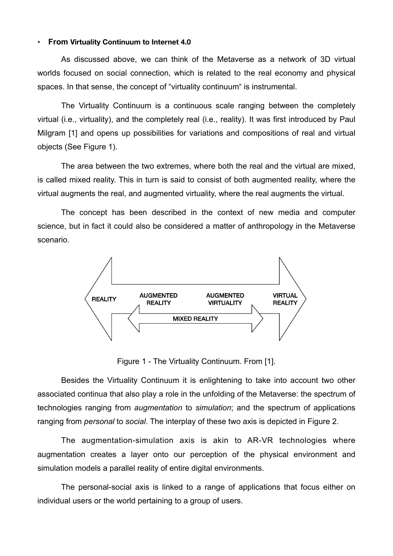#### **• From Virtuality Continuum to Internet 4.0**

As discussed above, we can think of the Metaverse as a network of 3D virtual worlds focused on social connection, which is related to the real economy and physical spaces. In that sense, the concept of "virtuality continuum" is instrumental.

The Virtuality Continuum is a continuous scale ranging between the completely virtual (i.e., virtuality), and the completely real (i.e., reality). It was first introduced by Paul Milgram [1] and opens up possibilities for variations and compositions of real and virtual objects (See Figure 1).

The area between the two extremes, where both the real and the virtual are mixed, is called mixed reality. This in turn is said to consist of both augmented reality, where the virtual augments the real, and augmented virtuality, where the real augments the virtual.

The concept has been described in the context of new media and computer science, but in fact it could also be considered a matter of anthropology in the Metaverse scenario.



Figure 1 - The Virtuality Continuum. From [1].

Besides the Virtuality Continuum it is enlightening to take into account two other associated continua that also play a role in the unfolding of the Metaverse: the spectrum of technologies ranging from *augmentation* to *simulation*; and the spectrum of applications ranging from *personal* to *social*. The interplay of these two axis is depicted in Figure 2.

The augmentation-simulation axis is akin to AR-VR technologies where augmentation creates a layer onto our perception of the physical environment and simulation models a parallel reality of entire digital environments.

The personal-social axis is linked to a range of applications that focus either on individual users or the world pertaining to a group of users.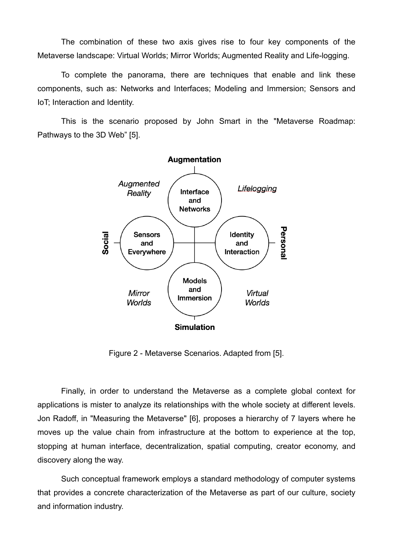The combination of these two axis gives rise to four key components of the Metaverse landscape: Virtual Worlds; Mirror Worlds; Augmented Reality and Life-logging.

To complete the panorama, there are techniques that enable and link these components, such as: Networks and Interfaces; Modeling and Immersion; Sensors and IoT; Interaction and Identity.

This is the scenario proposed by John Smart in the "Metaverse Roadmap: Pathways to the 3D Web" [5].



Figure 2 - Metaverse Scenarios. Adapted from [5].

Finally, in order to understand the Metaverse as a complete global context for applications is mister to analyze its relationships with the whole society at different levels. Jon Radoff, in "Measuring the Metaverse" [6], proposes a hierarchy of 7 layers where he moves up the value chain from infrastructure at the bottom to experience at the top, stopping at human interface, decentralization, spatial computing, creator economy, and discovery along the way.

Such conceptual framework employs a standard methodology of computer systems that provides a concrete characterization of the Metaverse as part of our culture, society and information industry.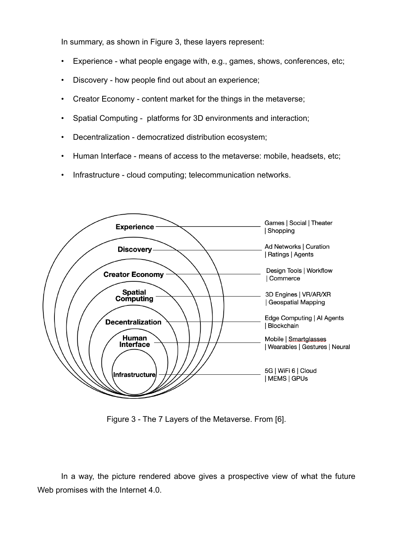In summary, as shown in Figure 3, these layers represent:

- Experience what people engage with, e.g., games, shows, conferences, etc;
- Discovery how people find out about an experience;
- Creator Economy content market for the things in the metaverse;
- Spatial Computing platforms for 3D environments and interaction;
- Decentralization democratized distribution ecosystem;
- Human Interface means of access to the metaverse: mobile, headsets, etc;
- Infrastructure cloud computing; telecommunication networks.



Figure 3 - The 7 Layers of the Metaverse. From [6].

In a way, the picture rendered above gives a prospective view of what the future Web promises with the Internet 4.0.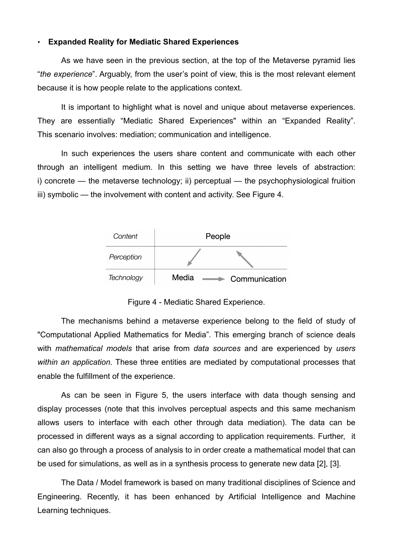### **• Expanded Reality for Mediatic Shared Experiences**

As we have seen in the previous section, at the top of the Metaverse pyramid lies "*the experience*". Arguably, from the user's point of view, this is the most relevant element because it is how people relate to the applications context.

It is important to highlight what is novel and unique about metaverse experiences. They are essentially "Mediatic Shared Experiences" within an "Expanded Reality". This scenario involves: mediation; communication and intelligence.

In such experiences the users share content and communicate with each other through an intelligent medium. In this setting we have three levels of abstraction: i) concrete — the metaverse technology; ii) perceptual — the psychophysiological fruition iii) symbolic — the involvement with content and activity. See Figure 4.



Figure 4 - Mediatic Shared Experience.

The mechanisms behind a metaverse experience belong to the field of study of "Computational Applied Mathematics for Media". This emerging branch of science deals with *mathematical models* that arise from *data sources* and are experienced by *users within an application.* These three entities are mediated by computational processes that enable the fulfillment of the experience.

As can be seen in Figure 5, the users interface with data though sensing and display processes (note that this involves perceptual aspects and this same mechanism allows users to interface with each other through data mediation). The data can be processed in different ways as a signal according to application requirements. Further, it can also go through a process of analysis to in order create a mathematical model that can be used for simulations, as well as in a synthesis process to generate new data [2], [3].

The Data / Model framework is based on many traditional disciplines of Science and Engineering. Recently, it has been enhanced by Artificial Intelligence and Machine Learning techniques.